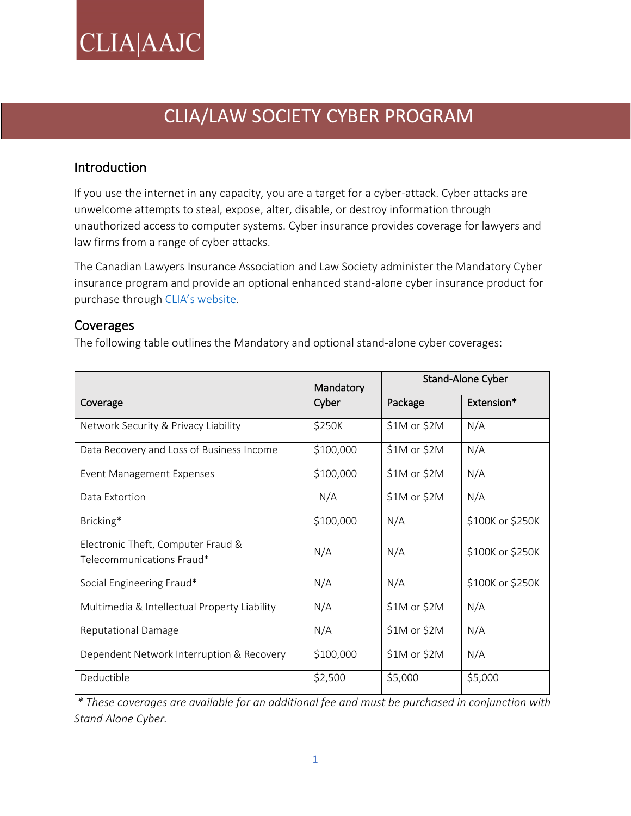# **CLIA**|AAJC

## CLIA/LAW SOCIETY CYBER PROGRAM

### Introduction

If you use the internet in any capacity, you are a target for a cyber-attack. Cyber attacks are unwelcome attempts to steal, expose, alter, disable, or destroy information through unauthorized access to computer systems. Cyber insurance provides coverage for lawyers and law firms from a range of cyber attacks.

The Canadian Lawyers Insurance Association and Law Society administer the Mandatory Cyber insurance program and provide an optional enhanced stand-alone cyber insurance product for purchase through [CLIA's website](https://www.clia.ca/).

#### Coverages

The following table outlines the Mandatory and optional stand-alone cyber coverages:

|                                                                 | Mandatory | Stand-Alone Cyber |                  |
|-----------------------------------------------------------------|-----------|-------------------|------------------|
| Coverage                                                        | Cyber     | Package           | Extension*       |
| Network Security & Privacy Liability                            | \$250K    | $$1M$ or $$2M$    | N/A              |
| Data Recovery and Loss of Business Income                       | \$100,000 | \$1M or \$2M      | N/A              |
| <b>Event Management Expenses</b>                                | \$100,000 | \$1M or \$2M      | N/A              |
| Data Extortion                                                  | N/A       | \$1M or \$2M      | N/A              |
| Bricking*                                                       | \$100,000 | N/A               | \$100K or \$250K |
| Electronic Theft, Computer Fraud &<br>Telecommunications Fraud* | N/A       | N/A               | \$100K or \$250K |
| Social Engineering Fraud*                                       | N/A       | N/A               | \$100K or \$250K |
| Multimedia & Intellectual Property Liability                    | N/A       | $$1M$ or $$2M$    | N/A              |
| <b>Reputational Damage</b>                                      | N/A       | $$1M$ or $$2M$    | N/A              |
| Dependent Network Interruption & Recovery                       | \$100,000 | $$1M$ or $$2M$    | N/A              |
| Deductible                                                      | \$2,500   | \$5,000           | \$5,000          |

*\* These coverages are available for an additional fee and must be purchased in conjunction with Stand Alone Cyber.*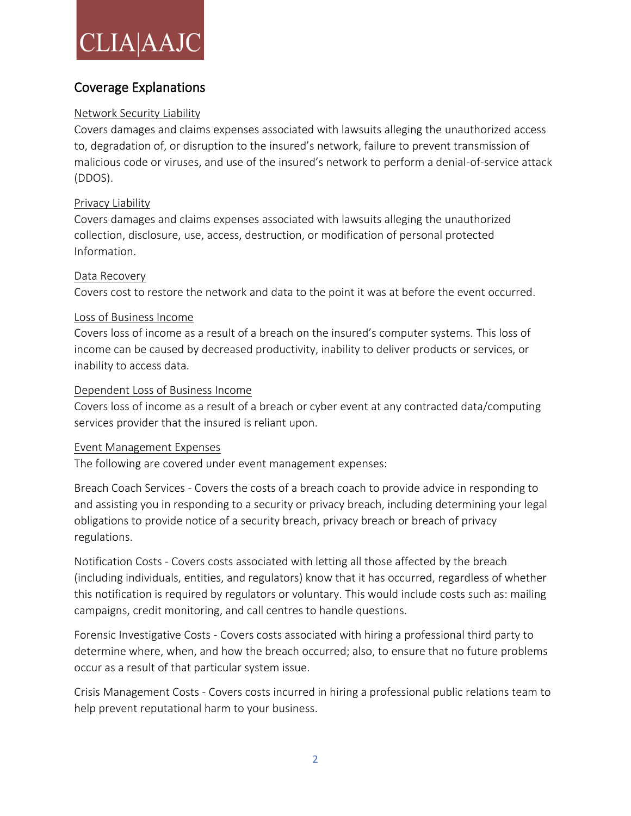# **CLIA**AJC

### Coverage Explanations

#### Network Security Liability

Covers damages and claims expenses associated with lawsuits alleging the unauthorized access to, degradation of, or disruption to the insured's network, failure to prevent transmission of malicious code or viruses, and use of the insured's network to perform a denial-of-service attack (DDOS).

#### Privacy Liability

Covers damages and claims expenses associated with lawsuits alleging the unauthorized collection, disclosure, use, access, destruction, or modification of personal protected Information.

#### Data Recovery

Covers cost to restore the network and data to the point it was at before the event occurred.

#### Loss of Business Income

Covers loss of income as a result of a breach on the insured's computer systems. This loss of income can be caused by decreased productivity, inability to deliver products or services, or inability to access data.

#### Dependent Loss of Business Income

Covers loss of income as a result of a breach or cyber event at any contracted data/computing services provider that the insured is reliant upon.

#### Event Management Expenses

The following are covered under event management expenses:

Breach Coach Services - Covers the costs of a breach coach to provide advice in responding to and assisting you in responding to a security or privacy breach, including determining your legal obligations to provide notice of a security breach, privacy breach or breach of privacy regulations.

Notification Costs - Covers costs associated with letting all those affected by the breach (including individuals, entities, and regulators) know that it has occurred, regardless of whether this notification is required by regulators or voluntary. This would include costs such as: mailing campaigns, credit monitoring, and call centres to handle questions.

Forensic Investigative Costs - Covers costs associated with hiring a professional third party to determine where, when, and how the breach occurred; also, to ensure that no future problems occur as a result of that particular system issue.

Crisis Management Costs - Covers costs incurred in hiring a professional public relations team to help prevent reputational harm to your business.